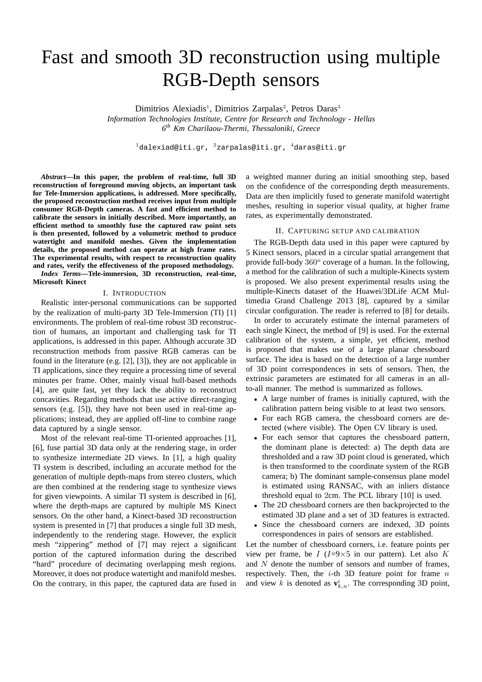# Fast and smooth 3D reconstruction using multiple RGB-Depth sensors

Dimitrios Alexiadis<sup>1</sup>, Dimitrios Zarpalas<sup>2</sup>, Petros Daras<sup>3</sup>

*Information Technologies Institute, Centre for Research and Technology - Hellas 6 th Km Charilaou-Thermi, Thessaloniki, Greece*

 $1$ dalexiad@iti.gr,  $2$ zarpalas@iti.gr,  $4$ daras@iti.gr

*Abstract***—In this paper, the problem of real-time, full 3D reconstruction of foreground moving objects, an important task for Tele-Immersion applications, is addressed. More specifically, the proposed reconstruction method receives input from multiple consumer RGB-Depth cameras. A fast and efficient method to calibrate the sensors in initially described. More importantly, an efficient method to smoothly fuse the captured raw point sets is then presented, followed by a volumetric method to produce watertight and manifold meshes. Given the implementation details, the proposed method can operate at high frame rates. The experimental results, with respect to reconstruction quality and rates, verify the effectiveness of the proposed methodology.**

*Index Terms***—Tele-immersion, 3D reconstruction, real-time, Microsoft Kinect**

#### I. INTRODUCTION

Realistic inter-personal communications can be supported by the realization of multi-party 3D Tele-Immersion (TI) [1] environments. The problem of real-time robust 3D reconstruction of humans, an important and challenging task for TI applications, is addressed in this paper. Although accurate 3D reconstruction methods from passive RGB cameras can be found in the literature (e.g. [2], [3]), they are not applicable in TI applications, since they require a processing time of several minutes per frame. Other, mainly visual hull-based methods [4], are quite fast, yet they lack the ability to reconstruct concavities. Regarding methods that use active direct-ranging sensors (e.g. [5]), they have not been used in real-time applications; instead, they are applied off-line to combine range data captured by a single sensor.

Most of the relevant real-time TI-oriented approaches [1], [6], fuse partial 3D data only at the rendering stage, in order to synthesize intermediate 2D views. In [1], a high quality TI system is described, including an accurate method for the generation of multiple depth-maps from stereo clusters, which are then combined at the rendering stage to synthesize views for given viewpoints. A similar TI system is described in [6], where the depth-maps are captured by multiple MS Kinect sensors. On the other hand, a Kinect-based 3D reconstruction system is presented in [7] that produces a single full 3D mesh, independently to the rendering stage. However, the explicit mesh "zippering" method of [7] may reject a significant portion of the captured information during the described "hard" procedure of decimating overlapping mesh regions. Moreover, it does not produce watertight and manifold meshes. On the contrary, in this paper, the captured data are fused in

a weighted manner during an initial smoothing step, based on the confidence of the corresponding depth measurements. Data are then implicitly fused to generate manifold watertight meshes, resulting in superior visual quality, at higher frame rates, as experimentally demonstrated.

#### II. CAPTURING SETUP AND CALIBRATION

The RGB-Depth data used in this paper were captured by 5 Kinect sensors, placed in a circular spatial arrangement that provide full-body  $360^{\circ}$  coverage of a human. In the following, a method for the calibration of such a multiple-Kinects system is proposed. We also present experimental results using the multiple-Kinects dataset of the Huawei/3DLife ACM Multimedia Grand Challenge 2013 [8], captured by a similar circular configuration. The reader is referred to [8] for details.

In order to accurately estimate the internal parameters of each single Kinect, the method of [9] is used. For the external calibration of the system, a simple, yet efficient, method is proposed that makes use of a large planar chessboard surface. The idea is based on the detection of a large number of 3D point correspondences in sets of sensors. Then, the extrinsic parameters are estimated for all cameras in an allto-all manner. The method is summarized as follows.

- A large number of frames is initially captured, with the calibration pattern being visible to at least two sensors.
- For each RGB camera, the chessboard corners are detected (where visible). The Open CV library is used.
- For each sensor that captures the chessboard pattern, the dominant plane is detected: a) The depth data are thresholded and a raw 3D point cloud is generated, which is then transformed to the coordinate system of the RGB camera; b) The dominant sample-consensus plane model is estimated using RANSAC, with an inliers distance threshold equal to 2cm. The PCL library [10] is used.
- The 2D chessboard corners are then backprojected to the estimated 3D plane and a set of 3D features is extracted.
- Since the chessboard corners are indexed, 3D points correspondences in pairs of sensors are established.

Let the number of chessboard corners, i.e. feature points per view per frame, be I ( $I=9\times 5$  in our pattern). Let also K and N denote the number of sensors and number of frames, respectively. Then, the  $i$ -th 3D feature point for frame  $n$ and view k is denoted as  $\mathbf{v}_{k,n}^i$ . The corresponding 3D point,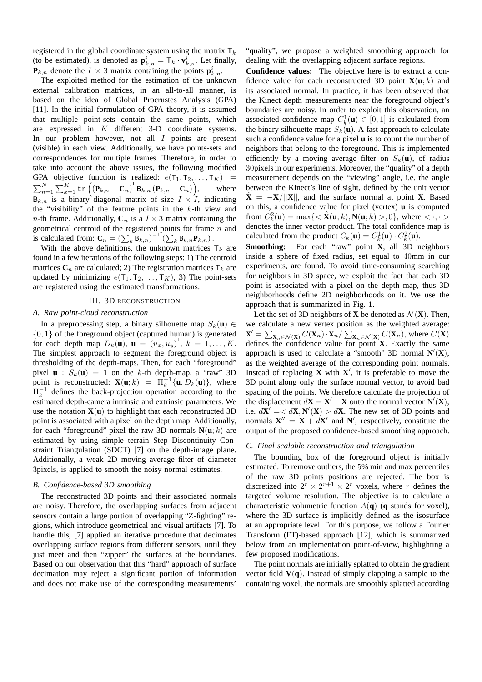registered in the global coordinate system using the matrix  $T_k$ (to be estimated), is denoted as  $\mathbf{p}_{k,n}^i = \mathbf{T}_k \cdot \mathbf{v}_{k,n}^i$ . Let finally,  $\mathbf{P}_{k,n}$  denote the  $I \times 3$  matrix containing the points  $\mathbf{p}_{k,n}^i$ .

The exploited method for the estimation of the unknown external calibration matrices, in an all-to-all manner, is based on the idea of Global Procrustes Analysis (GPA) [11]. In the initial formulation of GPA theory, it is assumed that multiple point-sets contain the same points, which are expressed in K different 3-D coordinate systems. In our problem however, not all  $I$  points are present (visible) in each view. Additionally, we have points-sets and correspondences for multiple frames. Therefore, in order to take into account the above issues, the following modified GPA objective function is realized:  $e(T_1, T_2, \dots, T_K)$  =  $\sum_{n=1}^{N} \sum_{k=1}^{K} \text{tr}\left(\left(\mathbf{P}_{k,n}-\mathbf{C}_n\right)^{\text{T}} \text{B}_{k,n}\left(\mathbf{P}_{k,n}-\mathbf{C}_n\right)\right)$ where  $B_{k,n}$  is a binary diagonal matrix of size  $I \times I$ , indicating the "visibility" of the feature points in the  $k$ -th view and *n*-th frame. Additionally,  $C_n$  is a  $I \times 3$  matrix containing the geometrical centroid of the registered points for frame  $n$  and is calculated from:  $\mathbf{C}_n = \left(\sum_k \mathbf{B}_{k,n}\right)^{-1} \left(\sum_k \mathbf{B}_{k,n} \mathbf{P}_{k,n}\right)$ .

With the above definitions, the unknown matrices  $T_k$  are found in a few iterations of the following steps: 1) The centroid matrices  $C_n$  are calculated; 2) The registration matrices  $T_k$  are updated by minimizing  $e(T_1, T_2, \ldots, T_K)$ , 3) The point-sets are registered using the estimated transformations.

### III. 3D RECONSTRUCTION

#### *A. Raw point-cloud reconstruction*

In a preprocessing step, a binary silhouette map  $S_k$ (**u**) ∈  $\{0, 1\}$  of the foreground object (captured human) is generated for each depth map  $D_k(\mathbf{u})$ ,  $\mathbf{u} = (u_x, u_y)^\text{T}$ ,  $k = 1, \dots, K$ . The simplest approach to segment the foreground object is thresholding of the depth-maps. Then, for each "foreground" pixel  $\mathbf{u}$  :  $S_k(\mathbf{u}) = 1$  on the k-th depth-map, a "raw" 3D point is reconstructed:  $\mathbf{X}(\mathbf{u}; k) = \Pi_k^{-1} {\{\mathbf{u}, D_k(\mathbf{u})\}},$  where  $\Pi_k^{-1}$  defines the back-projection operation according to the estimated depth-camera intrinsic and extrinsic parameters. We use the notation  $\mathbf{X}(\mathbf{u})$  to highlight that each reconstructed 3D point is associated with a pixel on the depth map. Additionally, for each "foreground" pixel the raw 3D normals  $N(u; k)$  are estimated by using simple terrain Step Discontinuity Constraint Triangulation (SDCT) [7] on the depth-image plane. Additionally, a weak 2D moving average filter of diameter 3pixels, is applied to smooth the noisy normal estimates.

#### *B. Confidence-based 3D smoothing*

The reconstructed 3D points and their associated normals are noisy. Therefore, the overlapping surfaces from adjacent sensors contain a large portion of overlapping "Z-fighting" regions, which introduce geometrical and visual artifacts [7]. To handle this, [7] applied an iterative procedure that decimates overlapping surface regions from different sensors, until they just meet and then "zipper" the surfaces at the boundaries. Based on our observation that this "hard" approach of surface decimation may reject a significant portion of information and does not make use of the corresponding measurements'

"quality", we propose a weighted smoothing approach for dealing with the overlapping adjacent surface regions.

**Confidence values:** The objective here is to extract a confidence value for each reconstructed 3D point  $\mathbf{X}(\mathbf{u}; k)$  and its associated normal. In practice, it has been observed that the Kinect depth measurements near the foreground object's boundaries are noisy. In order to exploit this observation, an associated confidence map  $C_k^1(\mathbf{u}) \in [0,1]$  is calculated from the binary silhouette maps  $S_k(\mathbf{u})$ . A fast approach to calculate such a confidence value for a pixel **u** is to count the number of neighbors that belong to the foreground. This is implemented efficiently by a moving average filter on  $S_k(\mathbf{u})$ , of radius 30pixels in our experiments. Moreover, the "quality" of a depth measurement depends on the "viewing" angle, i.e. the angle between the Kinect's line of sight, defined by the unit vector  $X = -X/||X||$ , and the surface normal at point **X**. Based on this, a confidence value for pixel (vertex) **u** is computed from  $C_k^2(\mathbf{u}) = \max\{<\hat{\mathbf{X}}(\mathbf{u}; k), \mathbf{N}(\mathbf{u}; k) > 0\}$ , where  $< \cdot, \cdot >$ denotes the inner vector product. The total confidence map is calculated from the product  $C_k(\mathbf{u}) = C_k^1(\mathbf{u}) \cdot C_k^2(\mathbf{u})$ .

**Smoothing:** For each "raw" point **X**, all 3D neighbors inside a sphere of fixed radius, set equal to 40mm in our experiments, are found. To avoid time-consuming searching for neighbors in 3D space, we exploit the fact that each 3D point is associated with a pixel on the depth map, thus 3D neighborhoods define 2D neighborhoods on it. We use the approach that is summarized in Fig. 1.

Let the set of 3D neighbors of **X** be denoted as  $\mathcal{N}(\mathbf{X})$ . Then, we calculate a new vertex position as the weighted average:  $X' = \sum_{X_n \in \mathcal{N}(X)} C(X_n) \cdot X_n / \sum_{X_n \in \mathcal{N}(X)} C(X_n)$ , where  $C(X)$ defines the confidence value for point **X**. Exactly the same approach is used to calculate a "smooth" 3D normal  $N'(X)$ , as the weighted average of the corresponding point normals. Instead of replacing  $\overline{\mathbf{X}}$  with  $\mathbf{X}'$ , it is preferable to move the 3D point along only the surface normal vector, to avoid bad spacing of the points. We therefore calculate the projection of the displacement  $d\mathbf{X} = \mathbf{X}' - \mathbf{X}$  onto the normal vector  $\mathbf{N}'(\mathbf{X})$ , i.e.  $d\mathbf{X}' = \langle d\mathbf{X}, \mathbf{N}'(\mathbf{X}) \rangle d\mathbf{X}$ . The new set of 3D points and normals  $X'' = X + dX'$  and N', respectively, constitute the output of the proposed confidence-based smoothing approach.

#### *C. Final scalable reconstruction and triangulation*

The bounding box of the foreground object is initially estimated. To remove outliers, the 5% min and max percentiles of the raw 3D points positions are rejected. The box is discretized into  $2^r \times 2^{r+1} \times 2^r$  voxels, where r defines the targeted volume resolution. The objective is to calculate a characteristic volumetric function  $A(\mathbf{q})$  (**q** stands for voxel), where the 3D surface is implicitly defined as the isosurface at an appropriate level. For this purpose, we follow a Fourier Transform (FT)-based approach [12], which is summarized below from an implementation point-of-view, highlighting a few proposed modifications.

The point normals are initially splatted to obtain the gradient vector field  $V(q)$ . Instead of simply clapping a sample to the containing voxel, the normals are smoothly splatted according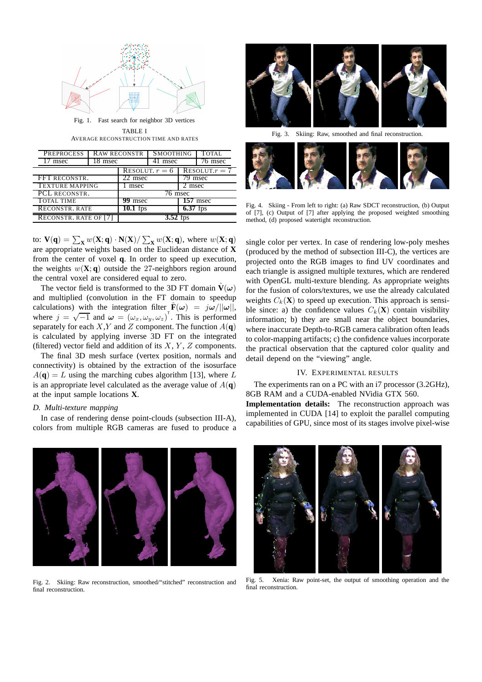

Fig. 1. Fast search for neighbor 3D vertices TABLE I AVERAGE RECONSTRUCTION TIME AND RATES

| <b>PREPROCESS</b>            | <b>RAW RECONSTR</b> |                     | <b>SMOOTHING</b> |                | TOTAL.  |
|------------------------------|---------------------|---------------------|------------------|----------------|---------|
| msec                         | 8 msec              |                     | msec             |                | 76 msec |
|                              |                     | RESOLUT. $r=6$      |                  | RESOLUT. $r=7$ |         |
| <b>FFT RECONSTR.</b>         |                     | 22 msec             |                  | '9 msec        |         |
| <b>TEXTURE MAPPING</b>       |                     | msec                |                  | 2 msec         |         |
| PCL RECONSTR.                |                     | $\frac{76}{6}$ msec |                  |                |         |
| <b>TOTAL TIME</b>            |                     | 99 msec             |                  | $157$ msec     |         |
| RECONSTR. RATE               |                     | $10.1$ fps          |                  | $6.37$ fps     |         |
| <b>RECONSTR. RATE OF [7]</b> |                     |                     |                  |                |         |

to:  $V(\mathbf{q}) = \sum_{\mathbf{X}} w(\mathbf{X}; \mathbf{q}) \cdot N(\mathbf{X}) / \sum_{\mathbf{X}} w(\mathbf{X}; \mathbf{q})$ , where  $w(\mathbf{X}; \mathbf{q})$ are appropriate weights based on the Euclidean distance of **X** from the center of voxel **q**. In order to speed up execution, the weights  $w(\mathbf{X}; \mathbf{q})$  outside the 27-neighbors region around the central voxel are considered equal to zero.

The vector field is transformed to the 3D FT domain  $\hat{V}(\omega)$ and multiplied (convolution in the FT domain to speedup calculations) with the integration filter  $\hat{\mathbf{F}}(\omega) = j\omega/||\omega||$ , where  $j = \sqrt{-1}$  and  $\omega = (\omega_x, \omega_y, \omega_z)^T$ . This is performed separately for each  $X, Y$  and  $Z$  component. The function  $A(\mathbf{q})$ is calculated by applying inverse 3D FT on the integrated (filtered) vector field and addition of its  $X, Y, Z$  components.

The final 3D mesh surface (vertex position, normals and connectivity) is obtained by the extraction of the isosurface  $A(\mathbf{q}) = L$  using the marching cubes algorithm [13], where L is an appropriate level calculated as the average value of  $A(\mathbf{q})$ at the input sample locations **X**.

## *D. Multi-texture mapping*

In case of rendering dense point-clouds (subsection III-A), colors from multiple RGB cameras are fused to produce a



Fig. 2. Skiing: Raw reconstruction, smoothed/"stitched" reconstruction and final reconstruction.



Fig. 3. Skiing: Raw, smoothed and final reconstruction.



Fig. 4. Skiing - From left to right: (a) Raw SDCT reconstruction, (b) Output of [7], (c) Output of [7] after applying the proposed weighted smoothing method, (d) proposed watertight reconstruction.

single color per vertex. In case of rendering low-poly meshes (produced by the method of subsection III-C), the vertices are projected onto the RGB images to find UV coordinates and each triangle is assigned multiple textures, which are rendered with OpenGL multi-texture blending. As appropriate weights for the fusion of colors/textures, we use the already calculated weights  $C_k(\mathbf{X})$  to speed up execution. This approach is sensible since: a) the confidence values  $C_k(\mathbf{X})$  contain visibility information; b) they are small near the object boundaries, where inaccurate Depth-to-RGB camera calibration often leads to color-mapping artifacts; c) the confidence values incorporate the practical observation that the captured color quality and detail depend on the "viewing" angle.

#### IV. EXPERIMENTAL RESULTS

The experiments ran on a PC with an i7 processor (3.2GHz), 8GB RAM and a CUDA-enabled NVidia GTX 560.

**Implementation details:** The reconstruction approach was implemented in CUDA [14] to exploit the parallel computing capabilities of GPU, since most of its stages involve pixel-wise



Fig. 5. Xenia: Raw point-set, the output of smoothing operation and the final reconstruction.